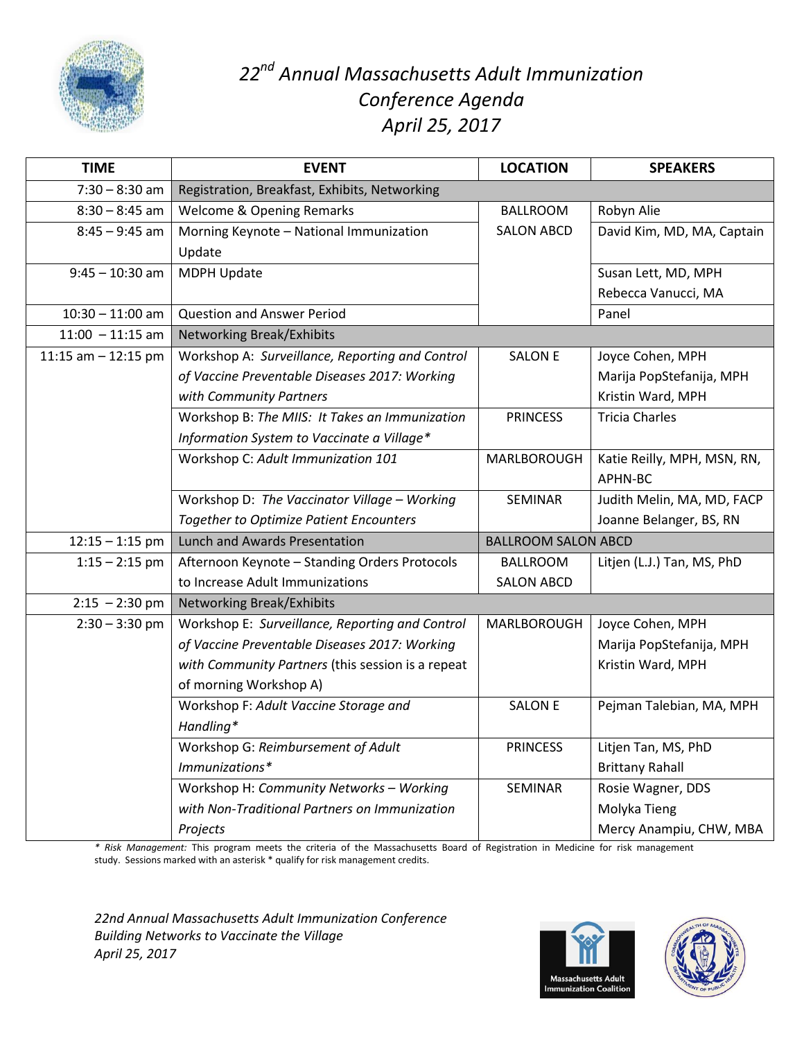

## *22nd Annual Massachusetts Adult Immunization Conference Agenda April 25, 2017*

| <b>TIME</b>           | <b>EVENT</b>                                      | <b>LOCATION</b>            | <b>SPEAKERS</b>             |
|-----------------------|---------------------------------------------------|----------------------------|-----------------------------|
| $7:30 - 8:30$ am      | Registration, Breakfast, Exhibits, Networking     |                            |                             |
| $8:30 - 8:45$ am      | Welcome & Opening Remarks                         | <b>BALLROOM</b>            | Robyn Alie                  |
| $8:45 - 9:45$ am      | Morning Keynote - National Immunization           | <b>SALON ABCD</b>          | David Kim, MD, MA, Captain  |
|                       | Update                                            |                            |                             |
| $9:45 - 10:30$ am     | MDPH Update                                       |                            | Susan Lett, MD, MPH         |
|                       |                                                   |                            | Rebecca Vanucci, MA         |
| $10:30 - 11:00$ am    | <b>Question and Answer Period</b>                 |                            | Panel                       |
| $11:00 - 11:15$ am    | <b>Networking Break/Exhibits</b>                  |                            |                             |
| 11:15 am $-$ 12:15 pm | Workshop A: Surveillance, Reporting and Control   | <b>SALON E</b>             | Joyce Cohen, MPH            |
|                       | of Vaccine Preventable Diseases 2017: Working     |                            | Marija PopStefanija, MPH    |
|                       | with Community Partners                           |                            | Kristin Ward, MPH           |
|                       | Workshop B: The MIIS: It Takes an Immunization    | <b>PRINCESS</b>            | <b>Tricia Charles</b>       |
|                       | Information System to Vaccinate a Village*        |                            |                             |
|                       | Workshop C: Adult Immunization 101                | MARLBOROUGH                | Katie Reilly, MPH, MSN, RN, |
|                       |                                                   |                            | APHN-BC                     |
|                       | Workshop D: The Vaccinator Village - Working      | SEMINAR                    | Judith Melin, MA, MD, FACP  |
|                       | <b>Together to Optimize Patient Encounters</b>    |                            | Joanne Belanger, BS, RN     |
| $12:15 - 1:15$ pm     | <b>Lunch and Awards Presentation</b>              | <b>BALLROOM SALON ABCD</b> |                             |
| $1:15 - 2:15$ pm      | Afternoon Keynote - Standing Orders Protocols     | <b>BALLROOM</b>            | Litjen (L.J.) Tan, MS, PhD  |
|                       | to Increase Adult Immunizations                   | <b>SALON ABCD</b>          |                             |
| $2:15 - 2:30$ pm      | <b>Networking Break/Exhibits</b>                  |                            |                             |
| $2:30 - 3:30$ pm      | Workshop E: Surveillance, Reporting and Control   | MARLBOROUGH                | Joyce Cohen, MPH            |
|                       | of Vaccine Preventable Diseases 2017: Working     |                            | Marija PopStefanija, MPH    |
|                       | with Community Partners (this session is a repeat |                            | Kristin Ward, MPH           |
|                       | of morning Workshop A)                            |                            |                             |
|                       | Workshop F: Adult Vaccine Storage and             | <b>SALON E</b>             | Pejman Talebian, MA, MPH    |
|                       | Handling*                                         |                            |                             |
|                       | Workshop G: Reimbursement of Adult                | <b>PRINCESS</b>            | Litjen Tan, MS, PhD         |
|                       | Immunizations*                                    |                            | <b>Brittany Rahall</b>      |
|                       | Workshop H: Community Networks - Working          | SEMINAR                    | Rosie Wagner, DDS           |
|                       | with Non-Traditional Partners on Immunization     |                            | Molyka Tieng                |
|                       | Projects                                          |                            | Mercy Anampiu, CHW, MBA     |

*\* Risk Management:* This program meets the criteria of the Massachusetts Board of Registration in Medicine for risk management study. Sessions marked with an asterisk \* qualify for risk management credits.

*22nd Annual Massachusetts Adult Immunization Conference Building Networks to Vaccinate the Village April 25, 2017*